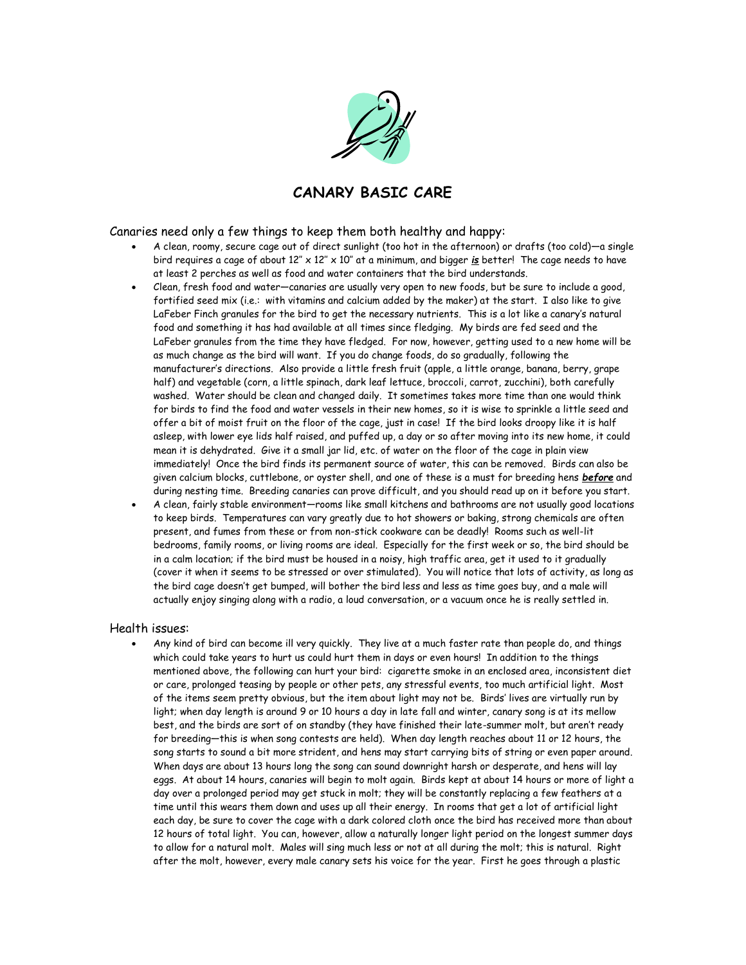

# **CANARY BASIC CARE**

### Canaries need only a few things to keep them both healthy and happy:

- A clean, roomy, secure cage out of direct sunlight (too hot in the afternoon) or drafts (too cold)—a single bird requires a cage of about 12" x 12" x 10" at a minimum, and bigger *is* better! The cage needs to have at least 2 perches as well as food and water containers that the bird understands.
- Clean, fresh food and water—canaries are usually very open to new foods, but be sure to include a good, fortified seed mix (i.e.: with vitamins and calcium added by the maker) at the start. I also like to give LaFeber Finch granules for the bird to get the necessary nutrients. This is a lot like a canary's natural food and something it has had available at all times since fledging. My birds are fed seed and the LaFeber granules from the time they have fledged. For now, however, getting used to a new home will be as much change as the bird will want. If you do change foods, do so gradually, following the manufacturer's directions. Also provide a little fresh fruit (apple, a little orange, banana, berry, grape half) and vegetable (corn, a little spinach, dark leaf lettuce, broccoli, carrot, zucchini), both carefully washed. Water should be clean and changed daily. It sometimes takes more time than one would think for birds to find the food and water vessels in their new homes, so it is wise to sprinkle a little seed and offer a bit of moist fruit on the floor of the cage, just in case! If the bird looks droopy like it is half asleep, with lower eye lids half raised, and puffed up, a day or so after moving into its new home, it could mean it is dehydrated. Give it a small jar lid, etc. of water on the floor of the cage in plain view immediately! Once the bird finds its permanent source of water, this can be removed. Birds can also be given calcium blocks, cuttlebone, or oyster shell, and one of these is a must for breeding hens *before* and during nesting time. Breeding canaries can prove difficult, and you should read up on it before you start.
- A clean, fairly stable environment—rooms like small kitchens and bathrooms are not usually good locations to keep birds. Temperatures can vary greatly due to hot showers or baking, strong chemicals are often present, and fumes from these or from non-stick cookware can be deadly! Rooms such as well-lit bedrooms, family rooms, or living rooms are ideal. Especially for the first week or so, the bird should be in a calm location; if the bird must be housed in a noisy, high traffic area, get it used to it gradually (cover it when it seems to be stressed or over stimulated). You will notice that lots of activity, as long as the bird cage doesn't get bumped, will bother the bird less and less as time goes buy, and a male will actually enjoy singing along with a radio, a loud conversation, or a vacuum once he is really settled in.

#### Health issues:

• Any kind of bird can become ill very quickly. They live at a much faster rate than people do, and things which could take years to hurt us could hurt them in days or even hours! In addition to the things mentioned above, the following can hurt your bird: cigarette smoke in an enclosed area, inconsistent diet or care, prolonged teasing by people or other pets, any stressful events, too much artificial light. Most of the items seem pretty obvious, but the item about light may not be. Birds' lives are virtually run by light; when day length is around 9 or 10 hours a day in late fall and winter, canary song is at its mellow best, and the birds are sort of on standby (they have finished their late-summer molt, but aren't ready for breeding—this is when song contests are held). When day length reaches about 11 or 12 hours, the song starts to sound a bit more strident, and hens may start carrying bits of string or even paper around. When days are about 13 hours long the song can sound downright harsh or desperate, and hens will lay eggs. At about 14 hours, canaries will begin to molt again. Birds kept at about 14 hours or more of light a day over a prolonged period may get stuck in molt; they will be constantly replacing a few feathers at a time until this wears them down and uses up all their energy. In rooms that get a lot of artificial light each day, be sure to cover the cage with a dark colored cloth once the bird has received more than about 12 hours of total light. You can, however, allow a naturally longer light period on the longest summer days to allow for a natural molt. Males will sing much less or not at all during the molt; this is natural. Right after the molt, however, every male canary sets his voice for the year. First he goes through a plastic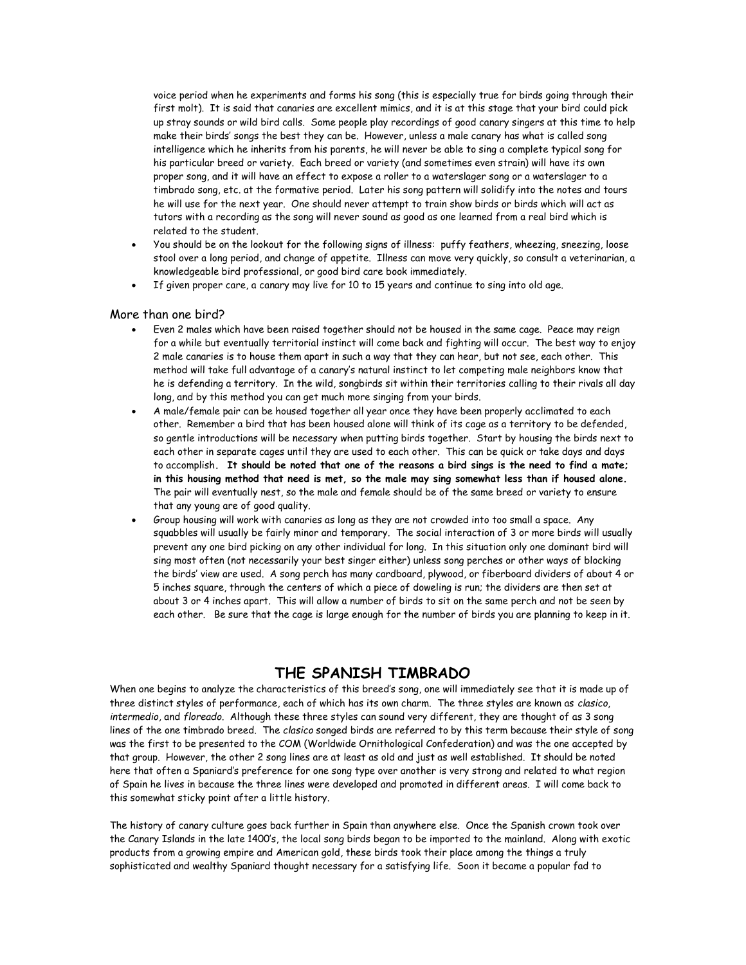voice period when he experiments and forms his song (this is especially true for birds going through their first molt). It is said that canaries are excellent mimics, and it is at this stage that your bird could pick up stray sounds or wild bird calls. Some people play recordings of good canary singers at this time to help make their birds' songs the best they can be. However, unless a male canary has what is called song intelligence which he inherits from his parents, he will never be able to sing a complete typical song for his particular breed or variety. Each breed or variety (and sometimes even strain) will have its own proper song, and it will have an effect to expose a roller to a waterslager song or a waterslager to a timbrado song, etc. at the formative period. Later his song pattern will solidify into the notes and tours he will use for the next year. One should never attempt to train show birds or birds which will act as tutors with a recording as the song will never sound as good as one learned from a real bird which is related to the student.

- You should be on the lookout for the following signs of illness: puffy feathers, wheezing, sneezing, loose stool over a long period, and change of appetite. Illness can move very quickly, so consult a veterinarian, a knowledgeable bird professional, or good bird care book immediately.
- If given proper care, a canary may live for 10 to 15 years and continue to sing into old age.

#### More than one bird?

- Even 2 males which have been raised together should not be housed in the same cage. Peace may reign for a while but eventually territorial instinct will come back and fighting will occur. The best way to enjoy 2 male canaries is to house them apart in such a way that they can hear, but not see, each other. This method will take full advantage of a canary's natural instinct to let competing male neighbors know that he is defending a territory. In the wild, songbirds sit within their territories calling to their rivals all day long, and by this method you can get much more singing from your birds.
- A male/female pair can be housed together all year once they have been properly acclimated to each other. Remember a bird that has been housed alone will think of its cage as a territory to be defended, so gentle introductions will be necessary when putting birds together. Start by housing the birds next to each other in separate cages until they are used to each other. This can be quick or take days and days to accomplish**. It should be noted that one of the reasons a bird sings is the need to find a mate; in this housing method that need is met, so the male may sing somewhat less than if housed alone.** The pair will eventually nest, so the male and female should be of the same breed or variety to ensure that any young are of good quality.
- Group housing will work with canaries as long as they are not crowded into too small a space. Any squabbles will usually be fairly minor and temporary. The social interaction of 3 or more birds will usually prevent any one bird picking on any other individual for long. In this situation only one dominant bird will sing most often (not necessarily your best singer either) unless song perches or other ways of blocking the birds' view are used. A song perch has many cardboard, plywood, or fiberboard dividers of about 4 or 5 inches square, through the centers of which a piece of doweling is run; the dividers are then set at about 3 or 4 inches apart. This will allow a number of birds to sit on the same perch and not be seen by each other. Be sure that the cage is large enough for the number of birds you are planning to keep in it.

## **THE SPANISH TIMBRADO**

When one begins to analyze the characteristics of this breed's song, one will immediately see that it is made up of three distinct styles of performance, each of which has its own charm. The three styles are known as *clasico*, *intermedio*, and *floreado*. Although these three styles can sound very different, they are thought of as 3 song lines of the one timbrado breed. The *clasico* songed birds are referred to by this term because their style of song was the first to be presented to the COM (Worldwide Ornithological Confederation) and was the one accepted by that group. However, the other 2 song lines are at least as old and just as well established. It should be noted here that often a Spaniard's preference for one song type over another is very strong and related to what region of Spain he lives in because the three lines were developed and promoted in different areas. I will come back to this somewhat sticky point after a little history.

The history of canary culture goes back further in Spain than anywhere else. Once the Spanish crown took over the Canary Islands in the late 1400's, the local song birds began to be imported to the mainland. Along with exotic products from a growing empire and American gold, these birds took their place among the things a truly sophisticated and wealthy Spaniard thought necessary for a satisfying life. Soon it became a popular fad to